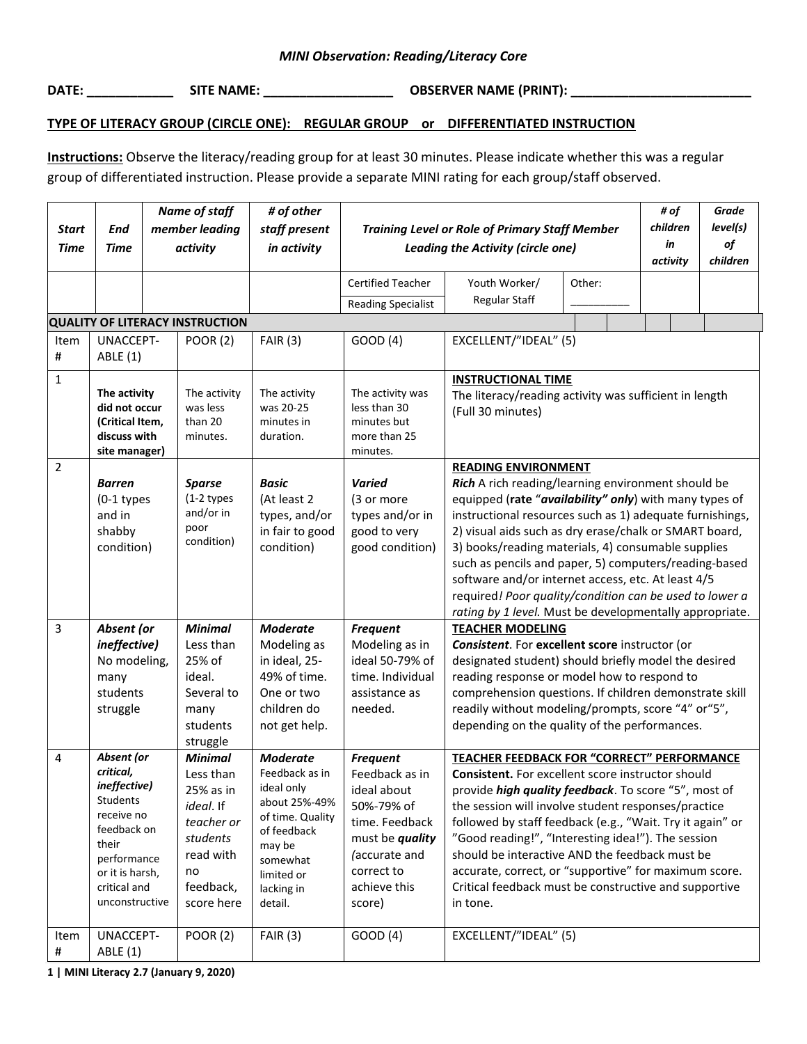**DATE: \_\_\_\_\_\_\_\_\_\_\_\_ SITE NAME: \_\_\_\_\_\_\_\_\_\_\_\_\_\_\_\_\_\_ OBSERVER NAME (PRINT): \_\_\_\_\_\_\_\_\_\_\_\_\_\_\_\_\_\_\_\_\_\_\_\_\_**

## **TYPE OF LITERACY GROUP (CIRCLE ONE): REGULAR GROUP or DIFFERENTIATED INSTRUCTION**

**Instructions:** Observe the literacy/reading group for at least 30 minutes. Please indicate whether this was a regular group of differentiated instruction. Please provide a separate MINI rating for each group/staff observed.

| <b>Start</b><br><b>Time</b> | <b>End</b><br><b>Time</b>                                                                                                                                                  | <b>Name of staff</b><br>member leading<br>activity |                                                                                                                                                         | # of other<br>staff present<br>in activity                                                                                                                                          | <b>Training Level or Role of Primary Staff Member</b><br>Leading the Activity (circle one)                                                                                      |                                                                                                                                                                                                                                                                                                                                                                                                                                                                                                                                                             |        | # of<br>children<br>in<br>activity | <b>Grade</b><br>level(s)<br>of<br>children |
|-----------------------------|----------------------------------------------------------------------------------------------------------------------------------------------------------------------------|----------------------------------------------------|---------------------------------------------------------------------------------------------------------------------------------------------------------|-------------------------------------------------------------------------------------------------------------------------------------------------------------------------------------|---------------------------------------------------------------------------------------------------------------------------------------------------------------------------------|-------------------------------------------------------------------------------------------------------------------------------------------------------------------------------------------------------------------------------------------------------------------------------------------------------------------------------------------------------------------------------------------------------------------------------------------------------------------------------------------------------------------------------------------------------------|--------|------------------------------------|--------------------------------------------|
|                             |                                                                                                                                                                            |                                                    |                                                                                                                                                         |                                                                                                                                                                                     | <b>Certified Teacher</b><br><b>Reading Specialist</b>                                                                                                                           | Youth Worker/<br>Regular Staff                                                                                                                                                                                                                                                                                                                                                                                                                                                                                                                              | Other: |                                    |                                            |
|                             |                                                                                                                                                                            |                                                    | <b>QUALITY OF LITERACY INSTRUCTION</b>                                                                                                                  |                                                                                                                                                                                     |                                                                                                                                                                                 |                                                                                                                                                                                                                                                                                                                                                                                                                                                                                                                                                             |        |                                    |                                            |
| Item<br>$\#$                | UNACCEPT-<br><b>ABLE</b> (1)                                                                                                                                               |                                                    | <b>POOR (2)</b>                                                                                                                                         | <b>FAIR (3)</b>                                                                                                                                                                     | GOOD (4)                                                                                                                                                                        | EXCELLENT/"IDEAL" (5)                                                                                                                                                                                                                                                                                                                                                                                                                                                                                                                                       |        |                                    |                                            |
| $\mathbf{1}$                | The activity<br>did not occur<br>(Critical Item,<br>discuss with<br>site manager)                                                                                          |                                                    | The activity<br>was less<br>than 20<br>minutes.                                                                                                         | The activity<br>was 20-25<br>minutes in<br>duration.                                                                                                                                | The activity was<br>less than 30<br>minutes but<br>more than 25<br>minutes.                                                                                                     | <b>INSTRUCTIONAL TIME</b><br>The literacy/reading activity was sufficient in length<br>(Full 30 minutes)                                                                                                                                                                                                                                                                                                                                                                                                                                                    |        |                                    |                                            |
| $\overline{2}$              | <b>Barren</b><br>$(0-1$ types<br>and in<br>shabby<br>condition)                                                                                                            |                                                    | <b>Sparse</b><br>$(1-2$ types<br>and/or in<br>poor<br>condition)                                                                                        | <b>Basic</b><br>(At least 2<br>types, and/or<br>in fair to good<br>condition)                                                                                                       | <b>Varied</b><br>(3 or more<br>types and/or in<br>good to very<br>good condition)                                                                                               | <b>READING ENVIRONMENT</b><br>Rich A rich reading/learning environment should be<br>equipped (rate "availability" only) with many types of<br>instructional resources such as 1) adequate furnishings,<br>2) visual aids such as dry erase/chalk or SMART board,<br>3) books/reading materials, 4) consumable supplies<br>such as pencils and paper, 5) computers/reading-based<br>software and/or internet access, etc. At least 4/5<br>required! Poor quality/condition can be used to lower a<br>rating by 1 level. Must be developmentally appropriate. |        |                                    |                                            |
| $\overline{3}$              | Absent (or<br>ineffective)<br>No modeling,<br>many<br>students<br>struggle                                                                                                 |                                                    | <b>Minimal</b><br>Less than<br>25% of<br>ideal.<br>Several to<br>many<br>students<br>struggle                                                           | <b>Moderate</b><br>Modeling as<br>in ideal, 25-<br>49% of time.<br>One or two<br>children do<br>not get help.                                                                       | <b>Frequent</b><br>Modeling as in<br>ideal 50-79% of<br>time. Individual<br>assistance as<br>needed.                                                                            | <b>TEACHER MODELING</b><br>Consistent. For excellent score instructor (or<br>designated student) should briefly model the desired<br>reading response or model how to respond to<br>comprehension questions. If children demonstrate skill<br>readily without modeling/prompts, score "4" or "5",<br>depending on the quality of the performances.                                                                                                                                                                                                          |        |                                    |                                            |
| 4<br>Item                   | Absent (or<br>critical,<br>ineffective)<br>Students<br>receive no<br>feedback on<br>their<br>performance<br>or it is harsh,<br>critical and<br>unconstructive<br>UNACCEPT- |                                                    | <b>Minimal</b><br>Less than<br>25% as in<br><i>ideal.</i> If<br>teacher or<br>students<br>read with<br>no<br>feedback,<br>score here<br><b>POOR (2)</b> | <b>Moderate</b><br>Feedback as in<br>ideal only<br>about 25%-49%<br>of time. Quality<br>of feedback<br>may be<br>somewhat<br>limited or<br>lacking in<br>detail.<br><b>FAIR (3)</b> | <b>Frequent</b><br>Feedback as in<br>ideal about<br>50%-79% of<br>time. Feedback<br>must be <i>quality</i><br>(accurate and<br>correct to<br>achieve this<br>score)<br>GOOD (4) | TEACHER FEEDBACK FOR "CORRECT" PERFORMANCE<br><b>Consistent.</b> For excellent score instructor should<br>provide high quality feedback. To score "5", most of<br>the session will involve student responses/practice<br>followed by staff feedback (e.g., "Wait. Try it again" or<br>"Good reading!", "Interesting idea!"). The session<br>should be interactive AND the feedback must be<br>accurate, correct, or "supportive" for maximum score.<br>Critical feedback must be constructive and supportive<br>in tone.<br>EXCELLENT/"IDEAL" (5)           |        |                                    |                                            |
| $\sharp$                    | ABLE (1)                                                                                                                                                                   |                                                    |                                                                                                                                                         |                                                                                                                                                                                     |                                                                                                                                                                                 |                                                                                                                                                                                                                                                                                                                                                                                                                                                                                                                                                             |        |                                    |                                            |

**1 | MINI Literacy 2.7 (January 9, 2020)**